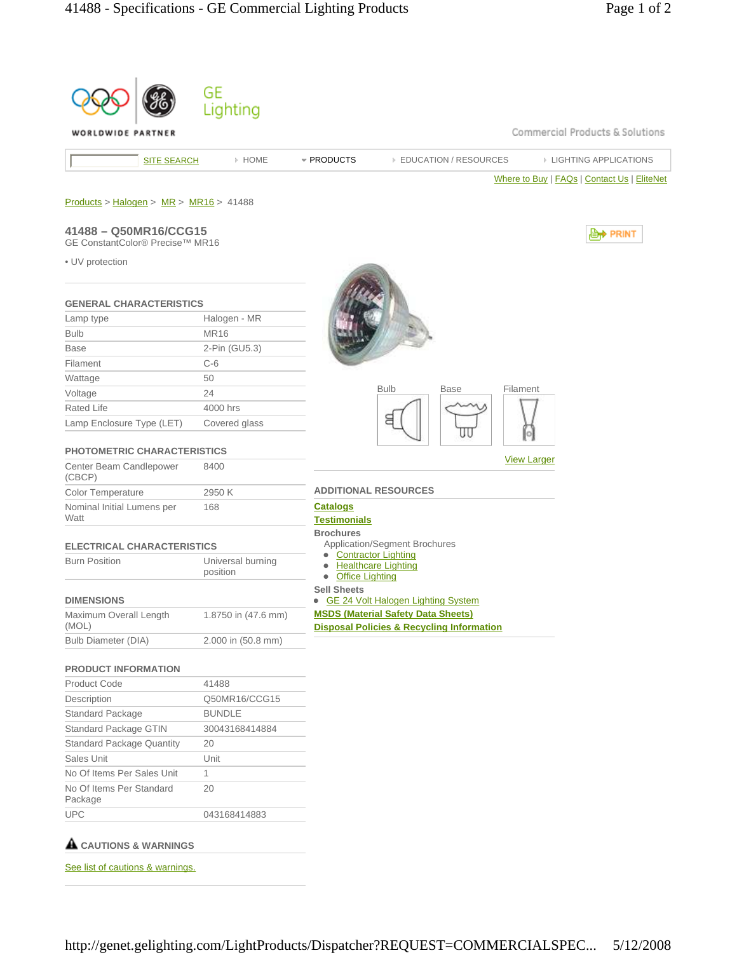

## **CAUTIONS & WARNINGS**

See list of cautions & warnings.

http://genet.gelighting.com/LightProducts/Dispatcher?REQUEST=COMMERCIALSPEC... 5/12/2008